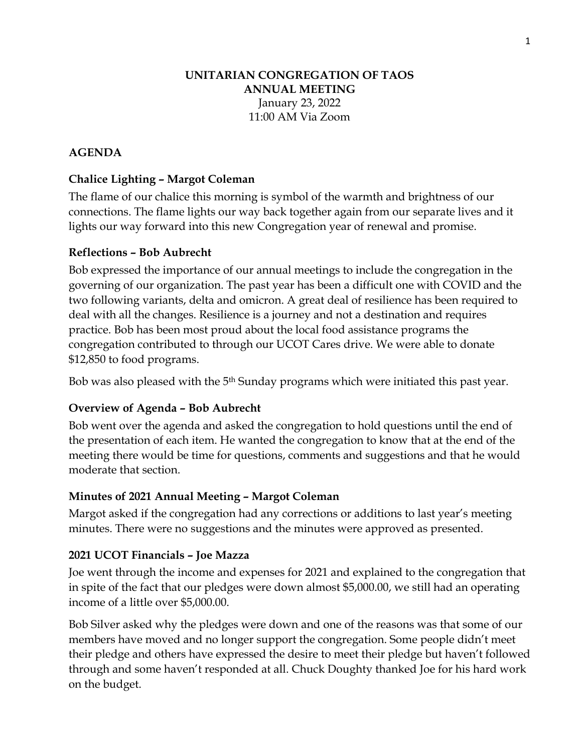#### **UNITARIAN CONGREGATION OF TAOS ANNUAL MEETING** January 23, 2022 11:00 AM Via Zoom

## **AGENDA**

## **Chalice Lighting – Margot Coleman**

The flame of our chalice this morning is symbol of the warmth and brightness of our connections. The flame lights our way back together again from our separate lives and it lights our way forward into this new Congregation year of renewal and promise.

#### **Reflections – Bob Aubrecht**

Bob expressed the importance of our annual meetings to include the congregation in the governing of our organization. The past year has been a difficult one with COVID and the two following variants, delta and omicron. A great deal of resilience has been required to deal with all the changes. Resilience is a journey and not a destination and requires practice. Bob has been most proud about the local food assistance programs the congregation contributed to through our UCOT Cares drive. We were able to donate \$12,850 to food programs.

Bob was also pleased with the 5<sup>th</sup> Sunday programs which were initiated this past year.

## **Overview of Agenda – Bob Aubrecht**

Bob went over the agenda and asked the congregation to hold questions until the end of the presentation of each item. He wanted the congregation to know that at the end of the meeting there would be time for questions, comments and suggestions and that he would moderate that section.

## **Minutes of 2021 Annual Meeting – Margot Coleman**

Margot asked if the congregation had any corrections or additions to last year's meeting minutes. There were no suggestions and the minutes were approved as presented.

## **2021 UCOT Financials – Joe Mazza**

Joe went through the income and expenses for 2021 and explained to the congregation that in spite of the fact that our pledges were down almost \$5,000.00, we still had an operating income of a little over \$5,000.00.

Bob Silver asked why the pledges were down and one of the reasons was that some of our members have moved and no longer support the congregation. Some people didn't meet their pledge and others have expressed the desire to meet their pledge but haven't followed through and some haven't responded at all. Chuck Doughty thanked Joe for his hard work on the budget.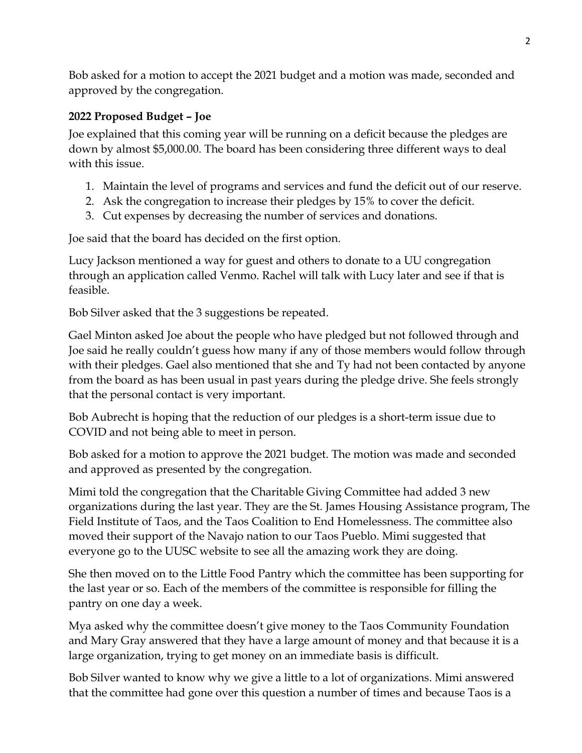Bob asked for a motion to accept the 2021 budget and a motion was made, seconded and approved by the congregation.

## **2022 Proposed Budget – Joe**

Joe explained that this coming year will be running on a deficit because the pledges are down by almost \$5,000.00. The board has been considering three different ways to deal with this issue.

- 1. Maintain the level of programs and services and fund the deficit out of our reserve.
- 2. Ask the congregation to increase their pledges by 15% to cover the deficit.
- 3. Cut expenses by decreasing the number of services and donations.

Joe said that the board has decided on the first option.

Lucy Jackson mentioned a way for guest and others to donate to a UU congregation through an application called Venmo. Rachel will talk with Lucy later and see if that is feasible.

Bob Silver asked that the 3 suggestions be repeated.

Gael Minton asked Joe about the people who have pledged but not followed through and Joe said he really couldn't guess how many if any of those members would follow through with their pledges. Gael also mentioned that she and Ty had not been contacted by anyone from the board as has been usual in past years during the pledge drive. She feels strongly that the personal contact is very important.

Bob Aubrecht is hoping that the reduction of our pledges is a short-term issue due to COVID and not being able to meet in person.

Bob asked for a motion to approve the 2021 budget. The motion was made and seconded and approved as presented by the congregation.

Mimi told the congregation that the Charitable Giving Committee had added 3 new organizations during the last year. They are the St. James Housing Assistance program, The Field Institute of Taos, and the Taos Coalition to End Homelessness. The committee also moved their support of the Navajo nation to our Taos Pueblo. Mimi suggested that everyone go to the UUSC website to see all the amazing work they are doing.

She then moved on to the Little Food Pantry which the committee has been supporting for the last year or so. Each of the members of the committee is responsible for filling the pantry on one day a week.

Mya asked why the committee doesn't give money to the Taos Community Foundation and Mary Gray answered that they have a large amount of money and that because it is a large organization, trying to get money on an immediate basis is difficult.

Bob Silver wanted to know why we give a little to a lot of organizations. Mimi answered that the committee had gone over this question a number of times and because Taos is a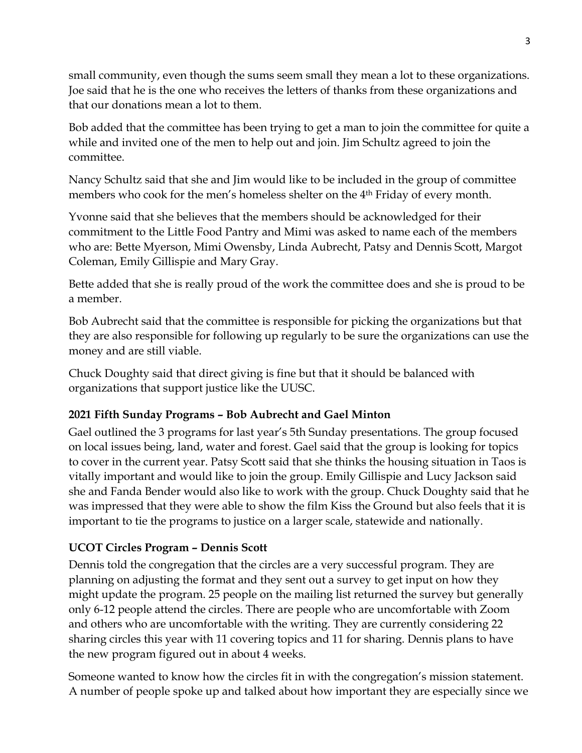small community, even though the sums seem small they mean a lot to these organizations. Joe said that he is the one who receives the letters of thanks from these organizations and that our donations mean a lot to them.

Bob added that the committee has been trying to get a man to join the committee for quite a while and invited one of the men to help out and join. Jim Schultz agreed to join the committee.

Nancy Schultz said that she and Jim would like to be included in the group of committee members who cook for the men's homeless shelter on the 4th Friday of every month.

Yvonne said that she believes that the members should be acknowledged for their commitment to the Little Food Pantry and Mimi was asked to name each of the members who are: Bette Myerson, Mimi Owensby, Linda Aubrecht, Patsy and Dennis Scott, Margot Coleman, Emily Gillispie and Mary Gray.

Bette added that she is really proud of the work the committee does and she is proud to be a member.

Bob Aubrecht said that the committee is responsible for picking the organizations but that they are also responsible for following up regularly to be sure the organizations can use the money and are still viable.

Chuck Doughty said that direct giving is fine but that it should be balanced with organizations that support justice like the UUSC.

# **2021 Fifth Sunday Programs – Bob Aubrecht and Gael Minton**

Gael outlined the 3 programs for last year's 5th Sunday presentations. The group focused on local issues being, land, water and forest. Gael said that the group is looking for topics to cover in the current year. Patsy Scott said that she thinks the housing situation in Taos is vitally important and would like to join the group. Emily Gillispie and Lucy Jackson said she and Fanda Bender would also like to work with the group. Chuck Doughty said that he was impressed that they were able to show the film Kiss the Ground but also feels that it is important to tie the programs to justice on a larger scale, statewide and nationally.

# **UCOT Circles Program – Dennis Scott**

Dennis told the congregation that the circles are a very successful program. They are planning on adjusting the format and they sent out a survey to get input on how they might update the program. 25 people on the mailing list returned the survey but generally only 6-12 people attend the circles. There are people who are uncomfortable with Zoom and others who are uncomfortable with the writing. They are currently considering 22 sharing circles this year with 11 covering topics and 11 for sharing. Dennis plans to have the new program figured out in about 4 weeks.

Someone wanted to know how the circles fit in with the congregation's mission statement. A number of people spoke up and talked about how important they are especially since we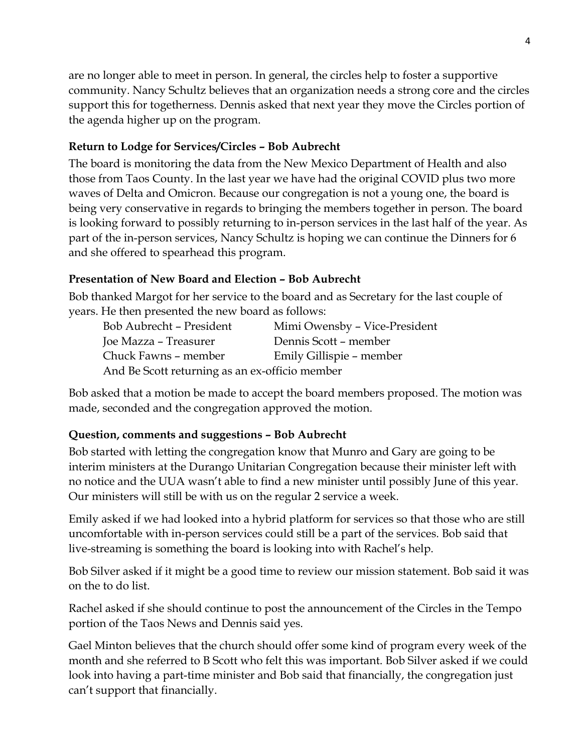are no longer able to meet in person. In general, the circles help to foster a supportive community. Nancy Schultz believes that an organization needs a strong core and the circles support this for togetherness. Dennis asked that next year they move the Circles portion of the agenda higher up on the program.

## **Return to Lodge for Services/Circles – Bob Aubrecht**

The board is monitoring the data from the New Mexico Department of Health and also those from Taos County. In the last year we have had the original COVID plus two more waves of Delta and Omicron. Because our congregation is not a young one, the board is being very conservative in regards to bringing the members together in person. The board is looking forward to possibly returning to in-person services in the last half of the year. As part of the in-person services, Nancy Schultz is hoping we can continue the Dinners for 6 and she offered to spearhead this program.

## **Presentation of New Board and Election – Bob Aubrecht**

Bob thanked Margot for her service to the board and as Secretary for the last couple of years. He then presented the new board as follows:

| Bob Aubrecht - President                       | Mimi Owensby - Vice-President |
|------------------------------------------------|-------------------------------|
| Joe Mazza – Treasurer                          | Dennis Scott - member         |
| Chuck Fawns – member                           | Emily Gillispie – member      |
| And Be Scott returning as an ex-officio member |                               |

Bob asked that a motion be made to accept the board members proposed. The motion was made, seconded and the congregation approved the motion.

# **Question, comments and suggestions – Bob Aubrecht**

Bob started with letting the congregation know that Munro and Gary are going to be interim ministers at the Durango Unitarian Congregation because their minister left with no notice and the UUA wasn't able to find a new minister until possibly June of this year. Our ministers will still be with us on the regular 2 service a week.

Emily asked if we had looked into a hybrid platform for services so that those who are still uncomfortable with in-person services could still be a part of the services. Bob said that live-streaming is something the board is looking into with Rachel's help.

Bob Silver asked if it might be a good time to review our mission statement. Bob said it was on the to do list.

Rachel asked if she should continue to post the announcement of the Circles in the Tempo portion of the Taos News and Dennis said yes.

Gael Minton believes that the church should offer some kind of program every week of the month and she referred to B Scott who felt this was important. Bob Silver asked if we could look into having a part-time minister and Bob said that financially, the congregation just can't support that financially.